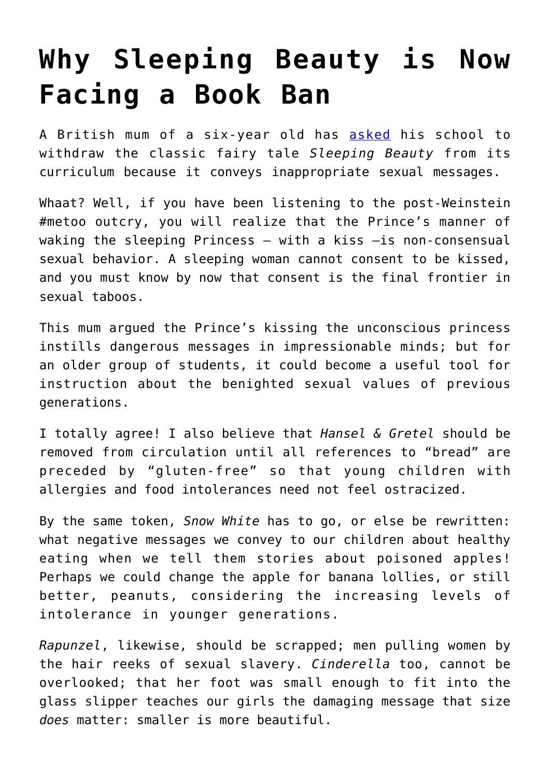## **[Why Sleeping Beauty is Now](https://intellectualtakeout.org/2017/11/why-sleeping-beauty-is-now-facing-a-book-ban/) [Facing a Book Ban](https://intellectualtakeout.org/2017/11/why-sleeping-beauty-is-now-facing-a-book-ban/)**

A British mum of a six-year old has [asked](http://www.mirror.co.uk/news/uk-news/mum-calls-sleeping-beauty-taken-11568729) his school to withdraw the classic fairy tale *Sleeping Beauty* from its curriculum because it conveys inappropriate sexual messages.

Whaat? Well, if you have been listening to the post-Weinstein #metoo outcry, you will realize that the Prince's manner of waking the sleeping Princess  $-$  with a kiss  $-$ is non-consensual sexual behavior. A sleeping woman cannot consent to be kissed, and you must know by now that consent is the final frontier in sexual taboos.

This mum argued the Prince's kissing the unconscious princess instills dangerous messages in impressionable minds; but for an older group of students, it could become a useful tool for instruction about the benighted sexual values of previous generations.

I totally agree! I also believe that *Hansel & Gretel* should be removed from circulation until all references to "bread" are preceded by "gluten-free" so that young children with allergies and food intolerances need not feel ostracized.

By the same token, *Snow White* has to go, or else be rewritten: what negative messages we convey to our children about healthy eating when we tell them stories about poisoned apples! Perhaps we could change the apple for banana lollies, or still better, peanuts, considering the increasing levels of intolerance in younger generations.

*Rapunzel*, likewise, should be scrapped; men pulling women by the hair reeks of sexual slavery. *Cinderella* too, cannot be overlooked; that her foot was small enough to fit into the glass slipper teaches our girls the damaging message that size *does* matter: smaller is more beautiful.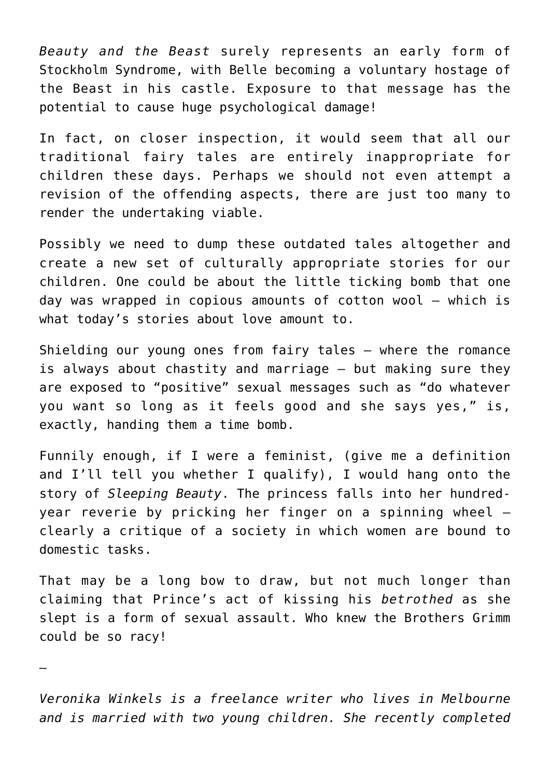*Beauty and the Beast* surely represents an early form of Stockholm Syndrome, with Belle becoming a voluntary hostage of the Beast in his castle. Exposure to that message has the potential to cause huge psychological damage!

In fact, on closer inspection, it would seem that all our traditional fairy tales are entirely inappropriate for children these days. Perhaps we should not even attempt a revision of the offending aspects, there are just too many to render the undertaking viable.

Possibly we need to dump these outdated tales altogether and create a new set of culturally appropriate stories for our children. One could be about the little ticking bomb that one day was wrapped in copious amounts of cotton wool – which is what today's stories about love amount to.

Shielding our young ones from fairy tales – where the romance is always about chastity and marriage — but making sure they are exposed to "positive" sexual messages such as "do whatever you want so long as it feels good and she says yes," is, exactly, handing them a time bomb.

Funnily enough, if I were a feminist, (give me a definition and I'll tell you whether I qualify), I would hang onto the story of *Sleeping Beauty*. The princess falls into her hundredyear reverie by pricking her finger on a spinning wheel clearly a critique of a society in which women are bound to domestic tasks.

That may be a long bow to draw, but not much longer than claiming that Prince's act of kissing his *betrothed* as she slept is a form of sexual assault. Who knew the Brothers Grimm could be so racy!

—

*Veronika Winkels is a freelance writer who lives in Melbourne and is married with two young children. She recently completed*